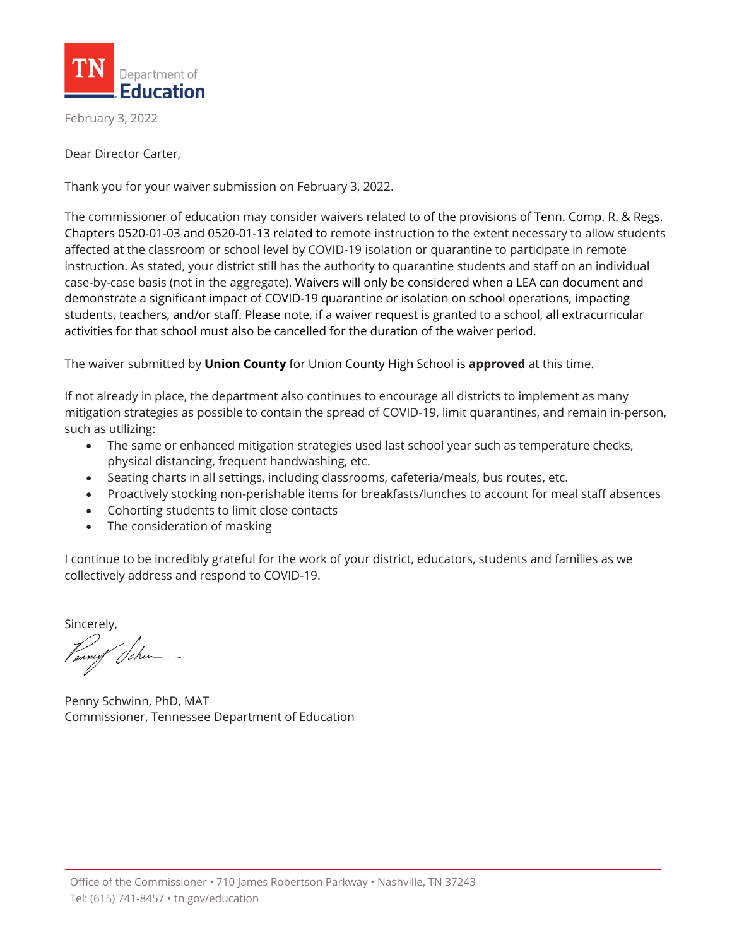

February 3, 2022

Dear Director Carter,

Thank you for your waiver submission on February 3, 2022.

The commissioner of education may consider waivers related to of the provisions of Tenn. Comp. R. & Regs. Chapters 0520-01-03 and 0520-01-13 related to remote instruction to the extent necessary to allow students affected at the classroom or school level by COVID-19 isolation or quarantine to participate in remote instruction. As stated, your district still has the authority to quarantine students and staff on an individual case-by-case basis (not in the aggregate). Waivers will only be considered when a LEA can document and demonstrate a significant impact of COVID-19 quarantine or isolation on school operations, impacting students, teachers, and/or staff. Please note, if a waiver request is granted to a school, all extracurricular activities for that school must also be cancelled for the duration of the waiver period.

The waiver submitted by **Union County** for Union County High School is **approved** at this time.

If not already in place, the department also continues to encourage all districts to implement as many mitigation strategies as possible to contain the spread of COVID-19, limit quarantines, and remain in-person, such as utilizing:

- The same or enhanced mitigation strategies used last school year such as temperature checks, physical distancing, frequent handwashing, etc.
- Seating charts in all settings, including classrooms, cafeteria/meals, bus routes, etc.
- Proactively stocking non-perishable items for breakfasts/lunches to account for meal staff absences
- Cohorting students to limit close contacts
- The consideration of masking

I continue to be incredibly grateful for the work of your district, educators, students and families as we collectively address and respond to COVID-19.

Sincerely,

Penny Schwinn, PhD, MAT Commissioner, Tennessee Department of Education